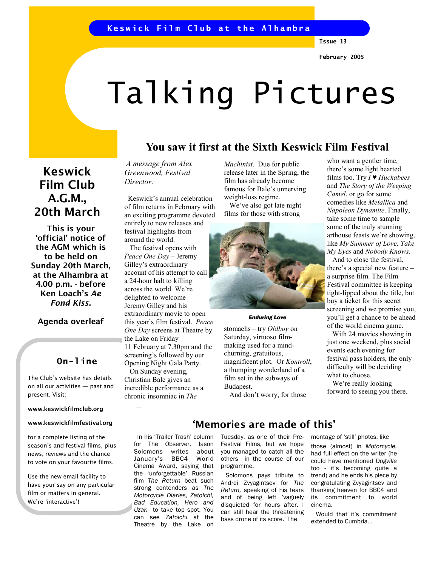# Talking Pictures

## You saw it first at the Sixth Keswick Film Festival

# Keswick Film Club A.G.M., 20th March

This is your 'official' notice of the AGM which is to be held on Sunday 20th March, at the Alhambra at 4.00 p.m. - before Ken Loach's Ae Fond Kiss.

## Agenda overleaf

## On-line

The Club's website has details on all our activities — past and present. Visit:

#### www.keswickfilmclub.org

### www.keswickfilmfestival.org

for a complete listing of the season's and festival films, plus news, reviews and the chance to vote on your favourite films.

Use the new email facility to have your say on any particular film or matters in general. We're 'interactive'!

A message from Alex Greenwood, Festival Director:

 Keswick's annual celebration of film returns in February with an exciting programme devoted entirely to new releases and festival highlights from around the world.

 The festival opens with Peace One Day – Jeremy Gilley's extraordinary account of his attempt to call a 24-hour halt to killing across the world. We're delighted to welcome Jeremy Gilley and his extraordinary movie to open this year's film festival. Peace One Day screens at Theatre by the Lake on Friday 11 February at 7.30pm and the screening's followed by our Opening Night Gala Party. On Sunday evening, Christian Bale gives an incredible performance as a chronic insomniac in The

> In his 'Trailer Trash' column for The Observer, Jason<br>Solomons writes about Solomons writes January's BBC4 World Cinema Award, saying that the 'unforgettable' Russian film The Return beat such strong contenders as The Motorcycle Diaries, Zatoichi, Bad Education, Hero and Uzak to take top spot. You can see Zatoichi at the Theatre by the Lake on

Machinist. Due for public release later in the Spring, the film has already become famous for Bale's unnerving weight-loss regime.

 We've also got late night films for those with strong



#### Enduring Love

stomachs – try Oldboy on Saturday, virtuoso filmmaking used for a mindchurning, gratuitous, magnificent plot. Or Kontroll, a thumping wonderland of a film set in the subways of Budapest.

And don't worry, for those

who want a gentler time, there's some light hearted films too. Try  $I \blacktriangleright$  Huckabees and The Story of the Weeping Camel. or go for some comedies like Metallica and Napoleon Dynamite. Finally, take some time to sample some of the truly stunning arthouse feasts we're showing, like My Summer of Love, Take My Eyes and Nobody Knows.

 And to close the festival, there's a special new feature – a surprise film. The Film Festival committee is keeping tight-lipped about the title, but buy a ticket for this secret screening and we promise you, you'll get a chance to be ahead of the world cinema game.

 With 24 movies showing in just one weekend, plus social events each evening for festival pass holders, the only difficulty will be deciding what to choose.

 We're really looking forward to seeing you there.

# 'Memories are made of this'

Tuesday, as one of their Pre-Festival Films, but we hope you managed to catch all the others in the course of our programme.

 Solomons pays tribute to Andrei Zvyagintsev for The Return, speaking of his tears and of being left 'vaguely disquieted for hours after. I can still hear the threatening bass drone of its score.' The

montage of 'still' photos, like

those (almost) in Motorcycle, had full effect on the writer (he could have mentioned Dogville too - it's becoming quite a trend) and he ends his piece by congratulating Zvyagintsev and thanking heaven for BBC4 and its commitment to world cinema.

 Would that it's commitment extended to Cumbria...